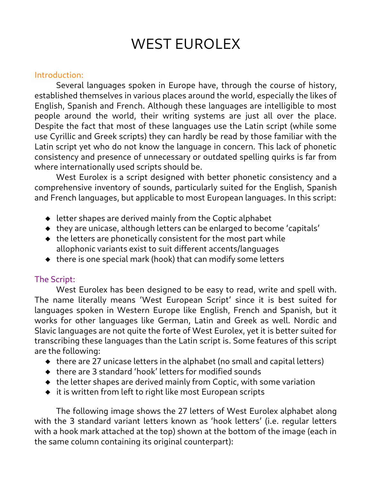## WEST EUROLEX

## Introduction:

Several languages spoken in Europe have, through the course of history, established themselves in various places around the world, especially the likes of English, Spanish and French. Although these languages are intelligible to most people around the world, their writing systems are just all over the place. Despite the fact that most of these languages use the Latin script (while some use Cyrillic and Greek scripts) they can hardly be read by those familiar with the Latin script yet who do not know the language in concern. This lack of phonetic consistency and presence of unnecessary or outdated spelling quirks is far from where internationally used scripts should be.

West Eurolex is a script designed with better phonetic consistency and a comprehensive inventory of sounds, particularly suited for the English, Spanish and French languages, but applicable to most European languages. In this script:

- $\bullet$  letter shapes are derived mainly from the Coptic alphabet
- they are unicase, although letters can be enlarged to become 'capitals'
- $\bullet$  the letters are phonetically consistent for the most part while allophonic variants exist to suit different accents/languages
- $\bullet$  there is one special mark (hook) that can modify some letters

## The Script:

West Eurolex has been designed to be easy to read, write and spell with. The name literally means 'West European Script' since it is best suited for languages spoken in Western Europe like English, French and Spanish, but it works for other languages like German, Latin and Greek as well. Nordic and Slavic languages are not quite the forte of West Eurolex, yet it is better suited for transcribing these languages than the Latin script is. Some features of this script are the following:

- $\bullet$  there are 27 unicase letters in the alphabet (no small and capital letters)
- there are 3 standard 'hook' letters for modified sounds
- $\bullet$  the letter shapes are derived mainly from Coptic, with some variation
- ◆ it is written from left to right like most European scripts

The following image shows the 27 letters of West Eurolex alphabet along with the 3 standard variant letters known as 'hook letters' (i.e. regular letters with a hook mark attached at the top) shown at the bottom of the image (each in the same column containing its original counterpart):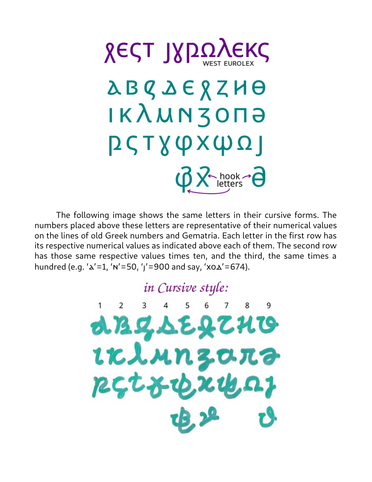

The following image shows the same letters in their cursive forms. The numbers placed above these letters are representative of their numerical values on the lines of old Greek numbers and Gematria. Each letter in the first row has its respective numerical values as indicated above each of them. The second row has those same respective values times ten, and the third, the same times a hundred (e.g. ' $\lambda' = 1$ , 'N' = 50, '<sub>1</sub>' = 900 and say, ' $x_0 \lambda' = 674$ ).

## in Cursive style:

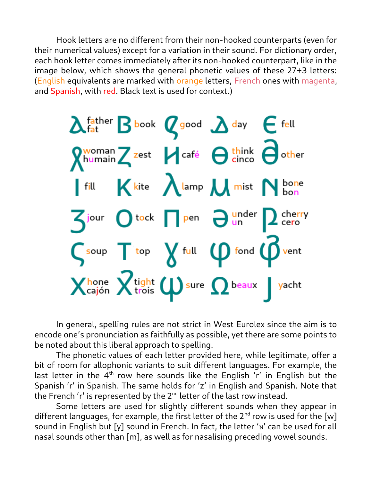Hook letters are no different from their non-hooked counterparts (even for their numerical values) except for a variation in their sound. For dictionary order, each hook letter comes immediately after its non-hooked counterpart, like in the image below, which shows the general phonetic values of these 27+3 letters: (English equivalents are marked with orange letters, French ones with magenta, and Spanish, with red. Black text is used for context.)



In general, spelling rules are not strict in West Eurolex since the aim is to encode one's pronunciation as faithfully as possible, yet there are some points to be noted about this liberal approach to spelling.

The phonetic values of each letter provided here, while legitimate, offer a bit of room for allophonic variants to suit different languages. For example, the last letter in the  $4<sup>th</sup>$  row here sounds like the English 'r' in English but the Spanish 'r' in Spanish. The same holds for 'z' in English and Spanish. Note that the French 'r' is represented by the  $2^{nd}$  letter of the last row instead.

Some letters are used for slightly different sounds when they appear in different languages, for example, the first letter of the  $2<sup>nd</sup>$  row is used for the [w] sound in English but [y] sound in French. In fact, the letter 'N' can be used for all nasal sounds other than [m], as well as for nasalising preceding vowel sounds.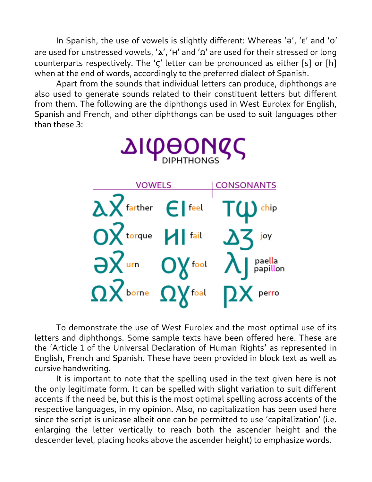In Spanish, the use of vowels is slightly different: Whereas 'ǝ', '∈' and 'o' are used for unstressed vowels, ' $\lambda'$ , 'H' and ' $\Omega'$  are used for their stressed or long counterparts respectively. The ' $\zeta'$  letter can be pronounced as either [s] or [h] when at the end of words, accordingly to the preferred dialect of Spanish.

Apart from the sounds that individual letters can produce, diphthongs are also used to generate sounds related to their constituent letters but different from them. The following are the diphthongs used in West Eurolex for English, Spanish and French, and other diphthongs can be used to suit languages other than these 3:



To demonstrate the use of West Eurolex and the most optimal use of its letters and diphthongs. Some sample texts have been offered here. These are the 'Article 1 of the Universal Declaration of Human Rights' as represented in English, French and Spanish. These have been provided in block text as well as cursive handwriting.

It is important to note that the spelling used in the text given here is not the only legitimate form. It can be spelled with slight variation to suit different accents if the need be, but this is the most optimal spelling across accents of the respective languages, in my opinion. Also, no capitalization has been used here since the script is unicase albeit one can be permitted to use 'capitalization' (i.e. enlarging the letter vertically to reach both the ascender height and the descender level, placing hooks above the ascender height) to emphasize words.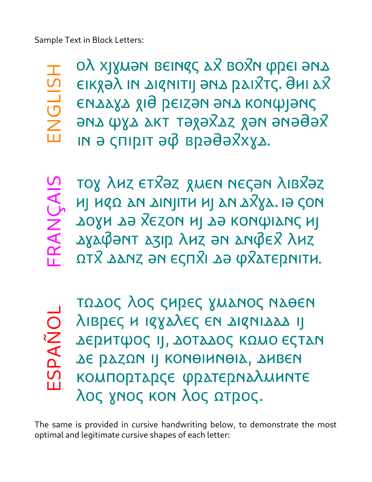Sample Text in Block Letters:



Ολ ΧΙΧΜΘΝ ΒΕΙΝΕΣ ΔΧ ΒΟΧΝ ΦΡΕΙ ΘΝΔ ΕΙΚΧΘλ ΙΝ ΔΙΚΝΙΤΙΙ ΘΝΔ ΣΔΙΧΤς. ΘΗΙ ΔΧ εΝΔΑχΑ χιθ ρειζεν ενα κονφισης Хөөөлө лөр хахөдөт тяа ауф алө ім ә спіріт әф врәдәХххд.

**FRANCAIS** 

тох лиг єтха з диєм месам лівхаг ΗΙ ΗΣΩ ΔΝ ΔΙΝΙΙΤΗ ΗΙ ΔΝ ΔΧΎΔ. ΙΘ ΣΟΝ δοχη σε χεζον μι σε κονφιανς μι ΔΥΔΦΟΝΤ Δ3ΙΩ λΗΖ ΟΝ ΔΝΦΕΧ λΗΖ ΩΤΧ ΔΑΝΖ ΘΝ ΕΣΠΧΙ ΔΘ ΦΧΑΤΕΡΝΙΤΗ.

ESPAÑOL

ΤΩΔΟς λος ζΗΡΕς ΧΜΔΝΟς ΝΔΘΕΝ λιвреς и ιςχαλες εη ΔιςηιΔΔΔ ΙΙ ΔΕΡΗΤΨΟς ΙΙ, ΔΟΤΑΔΟς ΚΩΜΟ ΕζΤΑΝ ΔΕ ΓΑΖΩΝ ΙΙ ΚΟΝΘΙΗΝΘΙΑ, ΔΗΒΕΝ κομπορταρςε φρατερηαλμηκτε λος χηος κοη λος ατρος.

The same is provided in cursive handwriting below, to demonstrate the most optimal and legitimate cursive shapes of each letter: